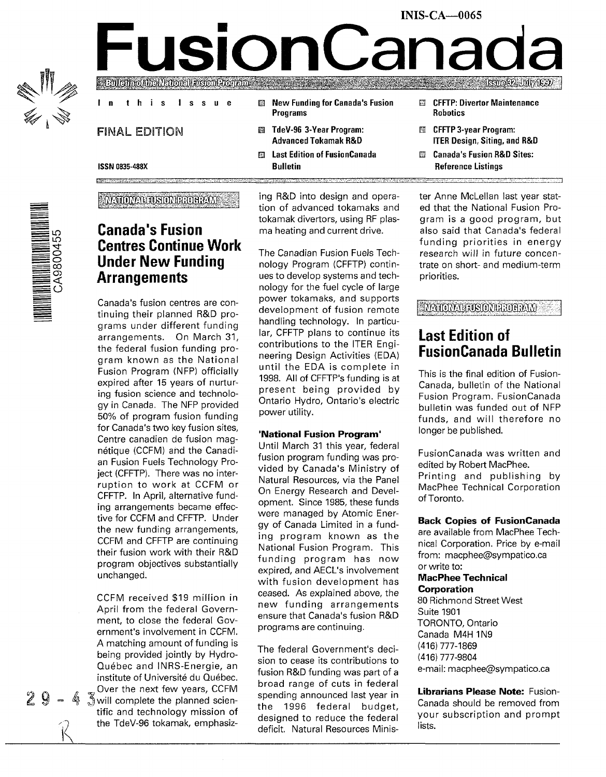

# INIS-CA—0065 **FusionCanada**

#### In this Issue

#### FINAL EDITION

- **EXIC New Funding for Canada's Fusion** Programs
- 图 TdeV-96 3-Year Program: Advanced Tokamak R&D
- Last Edition of FusionCanada Bulletin
- CFFTP: Divertor Maintenance **Robotics**
- **图 CFFTP 3-year Program:** ITER Design, Siting, and R&D
- 闘 Canada's Fusion R&D Sites: Reference Listings

ISSN 0835-48SX

EE:

#### **NATIONAL TUSION PROGRAM**



## **Canada's Fusion Centres Continue Work Under New Funding Arrangements**

Canada's fusion centres are continuing their planned R&D programs under different funding arrangements. On March 31, the federal fusion funding program known as the National Fusion Program (NFP) officially expired after 15 years of nurturing fusion science and technology in Canada. The NFP provided 50% of program fusion funding for Canada's two key fusion sites, Centre canadien de fusion magnétique (CCFM) and the Canadian Fusion Fuels Technology Project (CFFTP). There was no interruption to work at CCFM or CFFTP. In April, alternative funding arrangements became effective for CCFM and CFFTP. Under the new funding arrangements, CCFM and CFFTP are continuing their fusion work with their R&D program objectives substantially unchanged.

CCFM received \$19 million in April from the federal Government, to close the federal Government's involvement in CCFM. A matching amount of funding is being provided jointly by Hydro-Quebec and INRS-Energie, an institute of Université du Québec. . Over the next few years, CCFM  $\frac{1}{2}$   $\frac{3}{2}$  will complete the planned scientific and technology mission of the TdeV-96 tokamak, emphasizing R&D into design and operation of advanced tokamaks and tokamak divertors, using RF plasma heating and current drive.

The Canadian Fusion Fuels Technology Program (CFFTP) continues to develop systems and technology for the fuel cycle of large power tokamaks, and supports development of fusion remote handling technology. In particular, CFFTP plans to continue its contributions to the ITER Engineering Design Activities (EDA) until the EDA is complete in 1998. All of CFFTP's funding is at present being provided by Ontario Hydro, Ontario's electric power utility.

#### **'National Fusion Program'**

Until March 31 this year, federal fusion program funding was provided by Canada's Ministry of Natural Resources, via the Panel On Energy Research and Development. Since 1985, these funds were managed by Atomic Energy of Canada Limited in a funding program known as the National Fusion Program. This funding program has now expired, and AECL's involvement with fusion development has ceased. As explained above, the new funding arrangements ensure that Canada's fusion R&D programs are continuing.

The federal Government's decision to cease its contributions to fusion R&D funding was part of a broad range of cuts in federal spending announced last year in the 1996 federal budget, designed to reduce the federal deficit. Natural Resources Minister Anne McLellan last year stated that the National Fusion Program is a good program, but also said that Canada's federal funding priorities in energy research will in future concentrate on short- and medium-term priorities.

**MATOMALISONIAROHMM** 

# **Last Edition of FusionCanada Bulletin**

This is the final edition of Fusion-Canada, bulletin of the National Fusion Program. FusionCanada bulletin was funded out of NFP funds, and will therefore no longer be published.

FusionCanada was written and edited by Robert MacPhee. Printing and publishing by MacPhee Technical Corporation of Toronto.

#### **Back Copies of FusionCanada**

are available from MacPhee Technical Corporation. Price by e-mail from: macphee@sympatico.ca or write to:

#### **MacPhee Technical Corporation**

80 Richmond Street West Suite 1901 TORONTO, Ontario Canada M4H 1N9 (416) 777-1869 (416) 777-9804 e-mail: macphee@sympatico.ca

**Librarians Please Note:** Fusion-Canada should be removed from your subscription and prompt lists.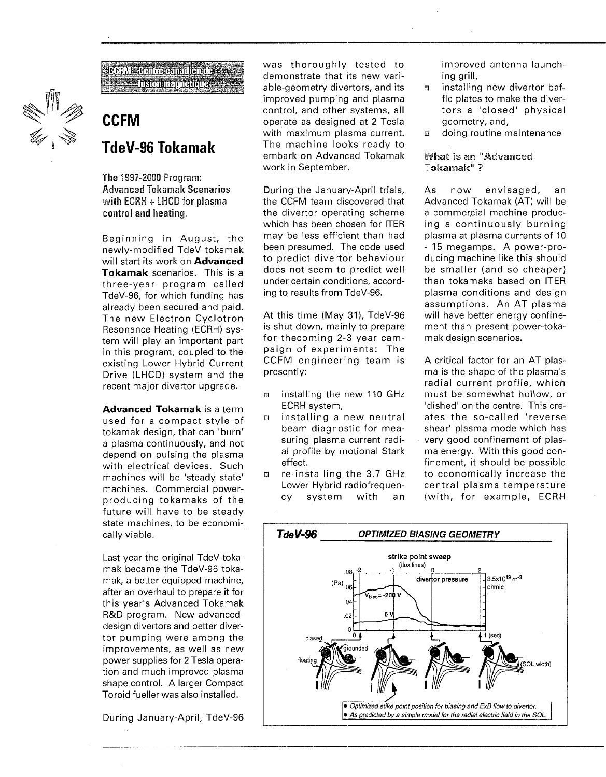

 $60$  FM = Centre canadientes **i**usomegnetique

# **CCFM TdeV-96 Tokamak**

The 1997-2000 Program: Advanced Tokamak Scenarios with ECRH + **LHCD** for plasma control and heating.

Beginning in August, the newly-modified TdeV tokamak will start its work on **Advanced Tokamak** scenarios. This is a three-year program called TdeV-96, for which funding has already been secured and paid. The new Electron Cyclotron Resonance Heating (ECRH) system will play an important part in this program, coupled to the existing Lower Hybrid Current Drive (LHCD) system and the recent major divertor upgrade.

**Advanced Tokamak** is a term used for a compact style of tokamak design, that can 'burn' a plasma continuously, and not depend on pulsing the plasma with electrical devices. Such machines will be 'steady state' machines. Commercial powerproducing tokamaks of the future will have to be steady state machines, to be economically viable.

Last year the original TdeV tokamak became the TdeV-96 tokamak, a better equipped machine, after an overhaul to prepare it for this year's Advanced Tokamak R&D program. New advanceddesign divertors and better divertor pumping were among the improvements, as well as new power supplies for 2 Tesla operation and much-improved plasma shape control. A larger Compact Toroid fueller was also installed.

During January-April, TdeV-96

was thoroughly tested to demonstrate that its new variable-geometry divertors, and its improved pumping and plasma control, and other systems, all operate as designed at 2 Tesla with maximum plasma current. The machine looks ready to embark on Advanced Tokamak work in September.

During the January-April trials, the CCFM team discovered that the divertor operating scheme which has been chosen for ITER may be less efficient than had been presumed. The code used to predict divertor behaviour does not seem to predict well under certain conditions, according to results from TdeV-96.

At this time (May 31), TdeV-96 is shut down, mainly to prepare for thecoming 2-3 year campaign of experiments: The CCFM engineering team is presently:

- m installing the new 110 GHz ECRH system,
- installing a new neutral beam diagnostic for measuring plasma current radial profile by motional Stark effect.
- re-installing the 3.7 GHz Lower Hybrid radiofrequency system with an

improved antenna launching grill,

- a installing new divertor baffle plates to make the divertors a 'closed' physical geometry, and,
- doing routine maintenance

#### What is an "Advanced *7*

As now envisaged, an Advanced Tokamak (AT) will be a commercial machine producing a continuously burning plasma at plasma currents of 10 - 15 megamps. A power-producing machine like this should be smaller (and so cheaper) than tokamaks based on ITER plasma conditions and design assumptions. An AT plasma will have better energy confinement than present power-tokamak design scenarios.

A critical factor for an AT plasma is the shape of the plasma's radial current profile, which must be somewhat hollow, or 'dished' on the centre. This creates the so-called 'reverse shear' plasma mode which has very good confinement of plasma energy. With this good confinement, it should be possible to economically increase the central plasma temperature (with, for example, ECRH

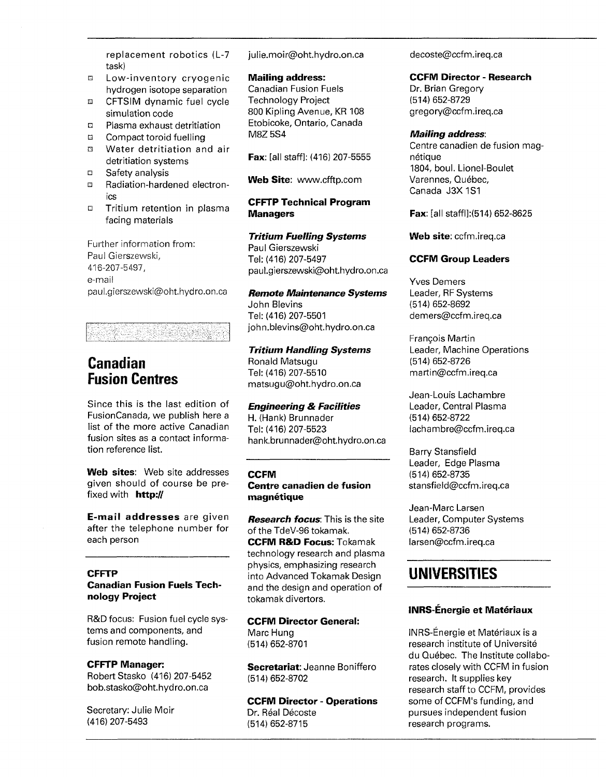replacement robotics (L-7 task)

- a Low-inventory cryogenic hydrogen isotope separation
- CFTSIM dynamic fuel cycle simulation code
- □ Plasma exhaust detritiation
- a Compact toroid fuelling
- a Water detritiation and air detritiation systems
- **D** Safety analysis
- a Radiation-hardened electronics
- *D* Tritium retention in plasma facing materials

Further information from: Paul Gierszewski, 416-207-5497, e-mail paul.gierszewski@oht.hydro.on.ca

# **Canadian Fusion Centres**

Since this is the last edition of FusionCanada, we publish here a list of the more active Canadian fusion sites as a contact information reference list.

**Web sites:** Web site addresses given should of course be prefixed with **http://**

**E-mail addresses** are given after the telephone number for each person

#### **CFFTP**

#### **Canadian Fusion Fuels Technology Project**

R&D focus; Fusion fuel cycle systems and components, and fusion remote handling.

#### **CFFTP Manager:**

Robert Stasko (416) 207-5452 bob.stasko@oht.hydro.on.ca

Secretary: Julie Moir (416)207-5493

julie.moir@oht.hydro.on.ca

#### **Mailing address:**

Canadian Fusion Fuels Technology Project 800 Kipling Avenue, KR 108 Etobicoke, Ontario, Canada M8Z 5S4

**Fax:** [all staff]: (416) 207-5555

**Web Site:** www.cfftp.com

#### **CFFTP Technical Program Managers**

#### **Tritium Fuelling Systems**

Paul Gierszewski Tel: (416) 207-5497 paul.gierszewski@oht.hydro.on.ca

#### **Remote Maintenance Systems**

John Blevins Tel: (416) 207-5501 john.blevins@oht.hydro.on.ca

#### **Tritium Handling Systems**

Ronald Matsugu Tel: (416) 207-5510 matsugu@oht.hydro.on.ca

#### **Engineering & Facilities**

H. (Hank) Brunnader Tel: (416) 207-5523 hank.brunnader@oht.hydro.on.ca

#### **CCFM**

#### **Centre canadien de fusion magnetique**

**Research focus:** This is the site of the TdeV-96 tokamak. **CCFM R&D Focus:** Tokamak technology research and plasma physics, emphasizing research into Advanced Tokamak Design and the design and operation of tokamak divertors.

#### **CCFM Director General:** Marc Hung

(514)652-8701

**Secretariat:** Jeanne Boniffero (514)652-8702

#### **CCFM Director - Operations** Dr. Réal Décoste (514)652-8715

decoste@ccfm.ireq.ca

#### **CCFM Director - Research**

Dr. Brian Gregory (514) 652-8729 gregory@ccfm.ireq.ca

#### **Mailing address:**

Centre canadien de fusion magnétique 1804, boul. Lionel-Boulet Varennes, Québec, Canada J3X 1S1

**Fax:** [all staffl]:(514) 652-8625

**Web site:** ccfm.ireq.ca

#### **CCFM Group Leaders**

Yves Demers Leader, RF Systems (514)652-8692 demers@ccfm.ireq.ca

Francois Martin Leader, Machine Operations (514)652-8726 martin@ccfm.ireq.ca

Jean-Louis Lachambre Leader, Central Plasma (514)652-8722 lachambre@ccfm.ireq.ca

Barry Stansfield Leader, Edge Plasma (514)652-8735 stansfield@ccfm.ireq.ca

Jean-Marc Larsen Leader, Computer Systems (514)652-8736 larsen@ccfm.ireq.ca

# **UNIVERSITIES**

#### **INRS-Energie et Materiaux**

INRS-Energie et Materiaux is a research institute of Universite du Quebec. The Institute collaborates closely with CCFM in fusion research. It supplies key research staff to CCFM, provides some of CCFM's funding, and pursues independent fusion research programs.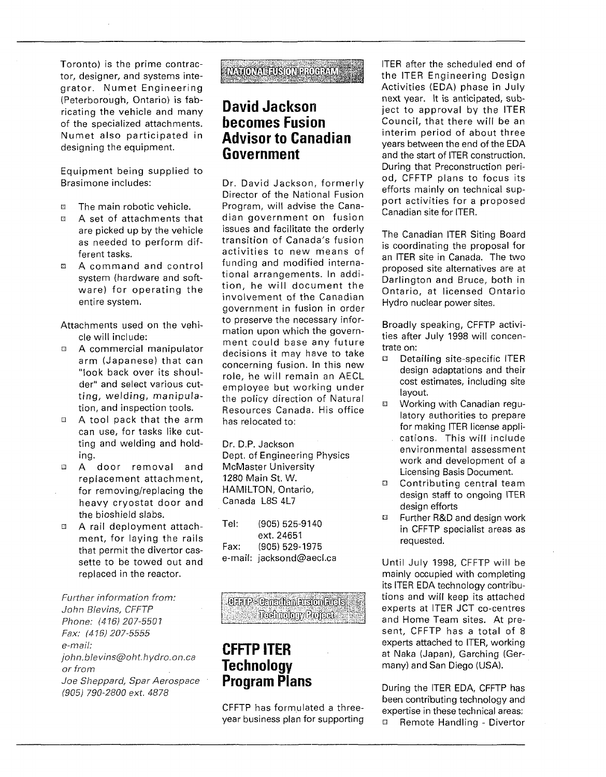Toronto) is the prime contractor, designer, and systems integrator. Numet Engineering (Peterborough, Ontario) is fabricating the vehicle and many of the specialized attachments. Numet also participated in designing the equipment.

Equipment being supplied to Brasimone includes:

- The main robotic vehicle.
- a A set of attachments that are picked up by the vehicle as needed to perform different tasks.
- a A command and control system (hardware and software) for operating the entire system.

Attachments used on the vehicle will include:

- E A commercial manipulator arm (Japanese) that can "look back over its shoulder" and select various cutting, welding, manipulation, and inspection tools.
- A tool pack that the arm can use, for tasks like cutting and welding and holding.
- a A door removal and replacement attachment, for removing/replacing the heavy cryostat door and the bioshield slabs.
- a A rail deployment attachment, for laying the rails that permit the divertor cassette to be towed out and replaced in the reactor.

Further information from: John Blevins, CFFTP Phone: (416) 207-5501 Fax: (416)207-5555 e-mail: John,blevins@oht.hydro.on.ca or from Joe Sheppard, Spar Aerospace (905) 790-2800 ext. 4878

### **AVAIONALISMMEROHAN**

# **David Jackson becomes Fusion Advisor to Canadian Government**

Dr. David Jackson, formerly Director of the National Fusion Program, will advise the Canadian government on fusion issues and facilitate the orderly transition of Canada's fusion activities to new means of funding and modified international arrangements. In addition, he will document the involvement of the Canadian government in fusion in order to preserve the necessary information upon which the government could base any future decisions it may have to take concerning fusion. In this new role, he will remain an AECL employee but working under the policy direction of Natural Resources Canada. His office has relocated to:

Dr. D.P. Jackson Dept. of Engineering Physics McMaster University 1280 Main St. W. HAMILTON, Ontario, Canada L8S 4L7

Tel: (905) 525-9140 ext. 24651 Fax: (905) 529-1975 e-mail: jacksond@aecl.ca

**CLAP-Critical Lision Lids** Ficehrology Rojeat

# **CFFTPITER Technology Program Plans**

CFFTP has formulated a threeyear business plan for supporting ITER after the scheduled end of the ITER Engineering Design Activities (EDA) phase in July next year. It is anticipated, subject to approval by the ITER Council, that there will be an interim period of about three years between the end of the EDA and the start of ITER construction. During that Preconstruction period, CFFTP plans to focus its efforts mainly on technical support activities for a proposed Canadian site for ITER.

The Canadian ITER Siting Board is coordinating the proposal for an ITER site in Canada. The two proposed site alternatives are at Darlington and Bruce, both in Ontario, at licensed Ontario Hydro nuclear power sites.

Broadly speaking, CFFTP activities after July 1998 will concentrate on:

- Q Detailing site-specific ITER design adaptations and their cost estimates, including site layout.
- Working with Canadian regulatory authorities to prepare for making ITER license applications. This will include environmental assessment work and development of a Licensing Basis Document.
- □ Contributing central team design staff to ongoing ITER design efforts
- 0 Further R&D and design work in CFFTP specialist areas as requested.

Until July 1998, CFFTP will be mainly occupied with completing its ITER EDA technology contributions and will keep its attached experts at ITER JCT co-centres and Home Team sites. At present, CFFTP has a total of 8 experts attached to ITER, working at Naka (Japan), Garching (Germany) and San Diego (USA).

During the ITER EDA, CFFTP has been contributing technology and expertise in these technical areas: ■ Remote Handling - Divertor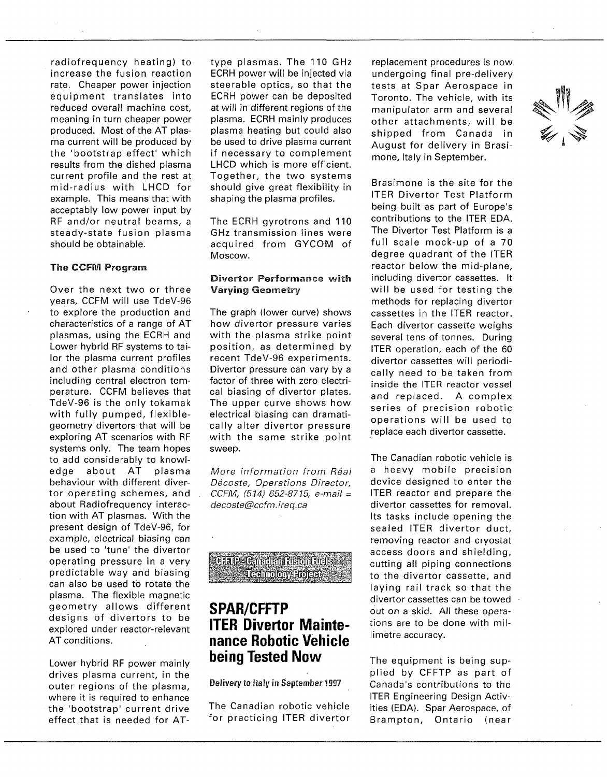radiofrequency heating) to increase the fusion reaction rate. Cheaper power injection equipment translates into reduced overall machine cost, meaning in turn cheaper power produced. Most of the AT plasma current will be produced by the 'bootstrap effect' which results from the dished plasma current profile and the rest at mid-radius with LHCD for example. This means that with acceptably low power input by RF and/or neutral beams, a steady-state fusion plasma should be obtainable.

#### The CCFM Program

Over the next two or three years, CCFM will use TdeV-96 to explore the production and characteristics of a range of AT plasmas, using the ECRH and Lower hybrid RF systems to tailor the plasma current profiles and other plasma conditions including central electron temperature. CCFM believes that TdeV-96 is the only tokamak with fully pumped, flexiblegeometry divertors that will be exploring AT scenarios with RF systems only. The team hopes to add considerably to knowledge about AT plasma behaviour with different divertor operating schemes, and about Radiofrequency interaction with AT plasmas. With the present design of TdeV-96, for example, electrical biasing can be used to 'tune' the divertor operating pressure in a very predictable way and biasing can also be used to rotate the plasma. The flexible magnetic geometry allows different designs of divertors to be explored under reactor-relevant AT conditions.

Lower hybrid RF power mainly drives plasma current, in the outer regions of the plasma, where it is required to enhance the 'bootstrap' current drive effect that is needed for AT-

type plasmas. The 110 GHz ECRH power will be injected via steerable optics, so that the ECRH power can be deposited at will in different regions of the plasma. ECRH mainly produces plasma heating but could also be used to drive plasma current if necessary to complement LHCD which is more efficient. Together, the two systems should give great flexibility in shaping the plasma profiles.

The ECRH gyrotrons and 110 GHz transmission lines were acquired from GYCOM of Moscow.

#### Divertor Performance with Varying Geometry

The graph (lower curve) shows how divertor pressure varies with the plasma strike point position, as determined by recent TdeV-96 experiments. Divertor pressure can vary by a factor of three with zero electrical biasing of divertor plates. The upper curve shows how electrical biasing can dramatically alter divertor pressure with the same strike point sweep.

More information from Réal Décoste, Operations Director, CCFM, {514) 652-8715, e-mail = decoste@ccfm.ireq.ca

**Caale Garden aston rusis** TechnologyProjects **.-'f**

# **SPAR/CFFTP ITER Divertor Maintenance Robotic Vehicle being Tested Now**

Delivery to Italy in September 1997

The Canadian robotic vehicle for practicing ITER divertor

replacement procedures is now undergoing final pre-delivery tests at Spar Aerospace in Toronto. The vehicle, with its manipulator arm and several other attachments, will be shipped from Canada in August for delivery in Brasimone, Italy in September.

Brasimone is the site for the ITER Divertor Test Platform being built as part of Europe's contributions to the ITER EDA. The Divertor Test Platform is a full scale mock-up of a 70 degree quadrant of the ITER reactor below the mid-plane, including divertor cassettes. It will be used for testing the methods for replacing divertor cassettes in the ITER reactor. Each divertor cassette weighs several tens of tonnes. During ITER operation, each of the 60 divertor cassettes will periodically need to be taken from inside the ITER reactor vessel and replaced. A complex series of precision robotic operations will be used to replace each divertor cassette.

The Canadian robotic vehicle is a heavy mobile precision device designed to enter the ITER reactor and prepare the divertor cassettes for removal. Its tasks include opening the sealed ITER divertor duct, removing reactor and cryostat access doors and shielding, cutting all piping connections to the divertor cassette, and laying rail track so that the divertor cassettes can be towed out on a skid. All these operations are to be done with millimetre accuracy.

The equipment is being supplied by CFFTP as part of Canada's contributions to the ITER Engineering Design Activities (EDA). Spar Aerospace, of Brampton, Ontario (near